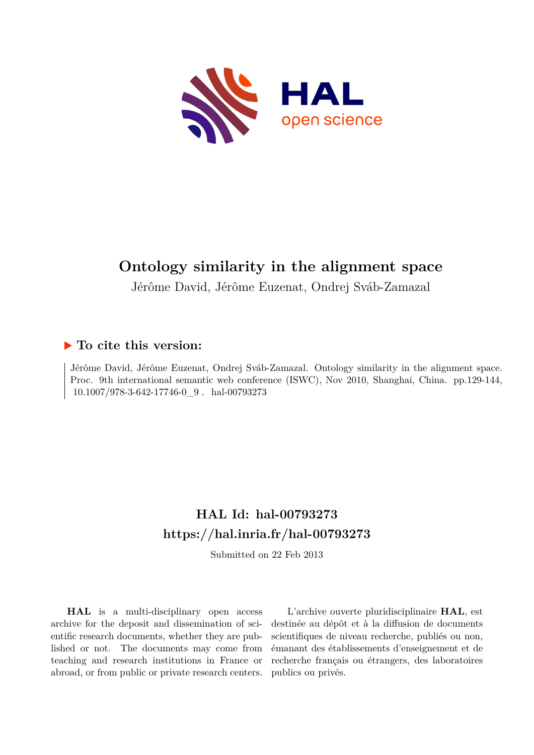

# **Ontology similarity in the alignment space**

Jérôme David, Jérôme Euzenat, Ondrej Sváb-Zamazal

## **To cite this version:**

Jérôme David, Jérôme Euzenat, Ondrej Sváb-Zamazal. Ontology similarity in the alignment space. Proc. 9th international semantic web conference (ISWC), Nov 2010, Shanghai, China. pp.129-144, ff10.1007/978-3-642-17746-0 9. hal-00793273

## **HAL Id: hal-00793273 <https://hal.inria.fr/hal-00793273>**

Submitted on 22 Feb 2013

**HAL** is a multi-disciplinary open access archive for the deposit and dissemination of scientific research documents, whether they are published or not. The documents may come from teaching and research institutions in France or abroad, or from public or private research centers.

L'archive ouverte pluridisciplinaire **HAL**, est destinée au dépôt et à la diffusion de documents scientifiques de niveau recherche, publiés ou non, émanant des établissements d'enseignement et de recherche français ou étrangers, des laboratoires publics ou privés.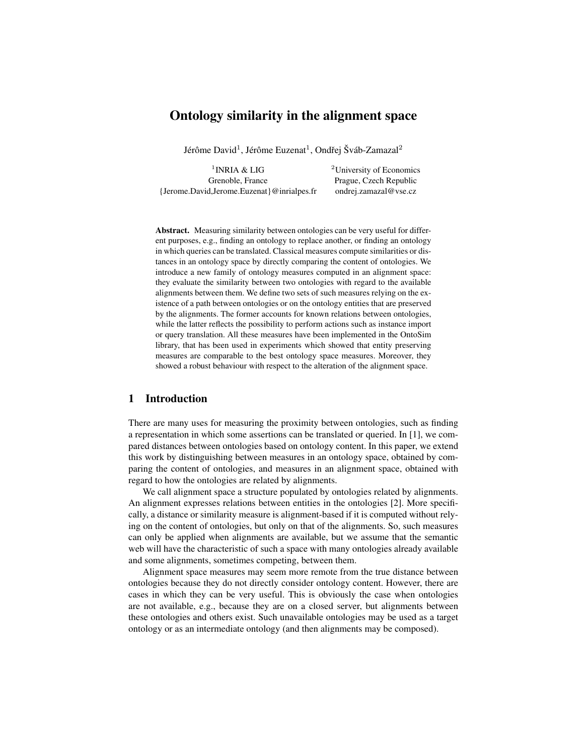## Ontology similarity in the alignment space

Jérôme David $^1$ , Jérôme Euzenat $^1$ , Ondřej Šváb-Zamazal $^2$ 

 $1$ INRIA & LIG Grenoble, France {Jerome.David,Jerome.Euzenat}@inrialpes.fr <sup>2</sup>University of Economics Prague, Czech Republic ondrej.zamazal@vse.cz

Abstract. Measuring similarity between ontologies can be very useful for different purposes, e.g., finding an ontology to replace another, or finding an ontology in which queries can be translated. Classical measures compute similarities or distances in an ontology space by directly comparing the content of ontologies. We introduce a new family of ontology measures computed in an alignment space: they evaluate the similarity between two ontologies with regard to the available alignments between them. We define two sets of such measures relying on the existence of a path between ontologies or on the ontology entities that are preserved by the alignments. The former accounts for known relations between ontologies, while the latter reflects the possibility to perform actions such as instance import or query translation. All these measures have been implemented in the OntoSim library, that has been used in experiments which showed that entity preserving measures are comparable to the best ontology space measures. Moreover, they showed a robust behaviour with respect to the alteration of the alignment space.

## 1 Introduction

There are many uses for measuring the proximity between ontologies, such as finding a representation in which some assertions can be translated or queried. In [1], we compared distances between ontologies based on ontology content. In this paper, we extend this work by distinguishing between measures in an ontology space, obtained by comparing the content of ontologies, and measures in an alignment space, obtained with regard to how the ontologies are related by alignments.

We call alignment space a structure populated by ontologies related by alignments. An alignment expresses relations between entities in the ontologies [2]. More specifically, a distance or similarity measure is alignment-based if it is computed without relying on the content of ontologies, but only on that of the alignments. So, such measures can only be applied when alignments are available, but we assume that the semantic web will have the characteristic of such a space with many ontologies already available and some alignments, sometimes competing, between them.

Alignment space measures may seem more remote from the true distance between ontologies because they do not directly consider ontology content. However, there are cases in which they can be very useful. This is obviously the case when ontologies are not available, e.g., because they are on a closed server, but alignments between these ontologies and others exist. Such unavailable ontologies may be used as a target ontology or as an intermediate ontology (and then alignments may be composed).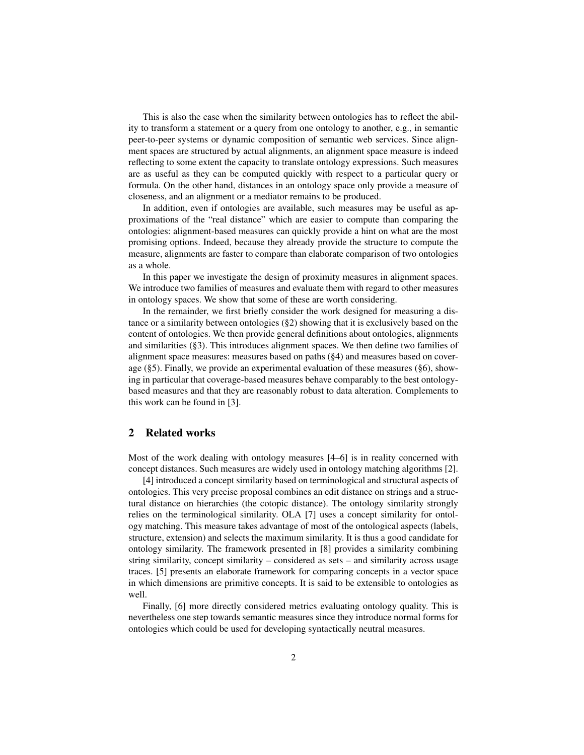This is also the case when the similarity between ontologies has to reflect the ability to transform a statement or a query from one ontology to another, e.g., in semantic peer-to-peer systems or dynamic composition of semantic web services. Since alignment spaces are structured by actual alignments, an alignment space measure is indeed reflecting to some extent the capacity to translate ontology expressions. Such measures are as useful as they can be computed quickly with respect to a particular query or formula. On the other hand, distances in an ontology space only provide a measure of closeness, and an alignment or a mediator remains to be produced.

In addition, even if ontologies are available, such measures may be useful as approximations of the "real distance" which are easier to compute than comparing the ontologies: alignment-based measures can quickly provide a hint on what are the most promising options. Indeed, because they already provide the structure to compute the measure, alignments are faster to compare than elaborate comparison of two ontologies as a whole.

In this paper we investigate the design of proximity measures in alignment spaces. We introduce two families of measures and evaluate them with regard to other measures in ontology spaces. We show that some of these are worth considering.

In the remainder, we first briefly consider the work designed for measuring a distance or a similarity between ontologies (§2) showing that it is exclusively based on the content of ontologies. We then provide general definitions about ontologies, alignments and similarities (§3). This introduces alignment spaces. We then define two families of alignment space measures: measures based on paths (§4) and measures based on coverage ( $\S$ 5). Finally, we provide an experimental evaluation of these measures ( $\S$ 6), showing in particular that coverage-based measures behave comparably to the best ontologybased measures and that they are reasonably robust to data alteration. Complements to this work can be found in [3].

## 2 Related works

Most of the work dealing with ontology measures [4–6] is in reality concerned with concept distances. Such measures are widely used in ontology matching algorithms [2].

[4] introduced a concept similarity based on terminological and structural aspects of ontologies. This very precise proposal combines an edit distance on strings and a structural distance on hierarchies (the cotopic distance). The ontology similarity strongly relies on the terminological similarity. OLA [7] uses a concept similarity for ontology matching. This measure takes advantage of most of the ontological aspects (labels, structure, extension) and selects the maximum similarity. It is thus a good candidate for ontology similarity. The framework presented in [8] provides a similarity combining string similarity, concept similarity – considered as sets – and similarity across usage traces. [5] presents an elaborate framework for comparing concepts in a vector space in which dimensions are primitive concepts. It is said to be extensible to ontologies as well.

Finally, [6] more directly considered metrics evaluating ontology quality. This is nevertheless one step towards semantic measures since they introduce normal forms for ontologies which could be used for developing syntactically neutral measures.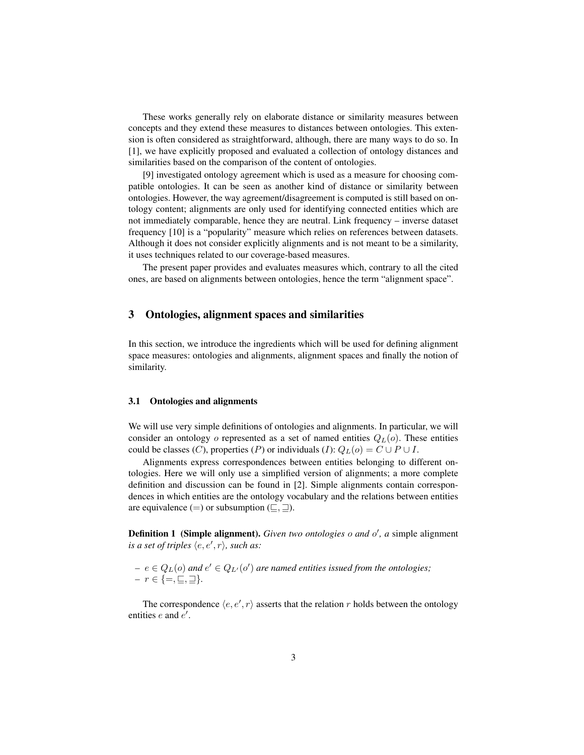These works generally rely on elaborate distance or similarity measures between concepts and they extend these measures to distances between ontologies. This extension is often considered as straightforward, although, there are many ways to do so. In [1], we have explicitly proposed and evaluated a collection of ontology distances and similarities based on the comparison of the content of ontologies.

[9] investigated ontology agreement which is used as a measure for choosing compatible ontologies. It can be seen as another kind of distance or similarity between ontologies. However, the way agreement/disagreement is computed is still based on ontology content; alignments are only used for identifying connected entities which are not immediately comparable, hence they are neutral. Link frequency – inverse dataset frequency [10] is a "popularity" measure which relies on references between datasets. Although it does not consider explicitly alignments and is not meant to be a similarity, it uses techniques related to our coverage-based measures.

The present paper provides and evaluates measures which, contrary to all the cited ones, are based on alignments between ontologies, hence the term "alignment space".

## 3 Ontologies, alignment spaces and similarities

In this section, we introduce the ingredients which will be used for defining alignment space measures: ontologies and alignments, alignment spaces and finally the notion of similarity.

#### 3.1 Ontologies and alignments

We will use very simple definitions of ontologies and alignments. In particular, we will consider an ontology o represented as a set of named entities  $Q_L(o)$ . These entities could be classes (C), properties (P) or individuals (I):  $Q_L(o) = C \cup P \cup I$ .

Alignments express correspondences between entities belonging to different ontologies. Here we will only use a simplified version of alignments; a more complete definition and discussion can be found in [2]. Simple alignments contain correspondences in which entities are the ontology vocabulary and the relations between entities are equivalence (=) or subsumption ( $\sqsubseteq$ ,  $\sqsupseteq$ ).

Definition 1 (Simple alignment). *Given two ontologies o and o'*, a simple alignment *is a set of triples*  $\langle e, e', r \rangle$ *, such as:* 

 $- e \in Q_L(o)$  and  $e' \in Q_{L'}(o')$  are named entities issued from the ontologies;  $- r \in \{ =, \sqsubseteq, \sqsupseteq \}.$ 

The correspondence  $\langle e, e', r \rangle$  asserts that the relation r holds between the ontology entities  $e$  and  $e'$ .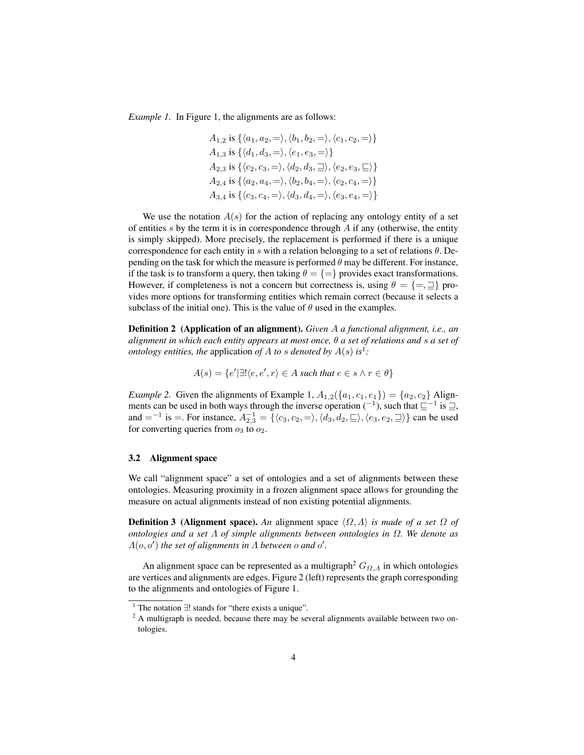*Example 1.* In Figure 1, the alignments are as follows:

$$
A_{1,2} \text{ is } \{ \langle a_1, a_2, = \rangle, \langle b_1, b_2, = \rangle, \langle c_1, c_2, = \rangle \}
$$
  
\n
$$
A_{1,3} \text{ is } \{ \langle d_1, d_3, = \rangle, \langle e_1, e_3, = \rangle \}
$$
  
\n
$$
A_{2,3} \text{ is } \{ \langle c_2, c_3, = \rangle, \langle d_2, d_3, \underline{\square} \rangle, \langle e_2, e_3, \underline{\square} \rangle \}
$$
  
\n
$$
A_{2,4} \text{ is } \{ \langle a_2, a_4, = \rangle, \langle b_2, b_4, = \rangle, \langle c_2, c_4, = \rangle \}
$$
  
\n
$$
A_{3,4} \text{ is } \{ \langle c_3, c_4, = \rangle, \langle d_3, d_4, = \rangle, \langle e_3, e_4, = \rangle \}
$$

We use the notation  $A(s)$  for the action of replacing any ontology entity of a set of entities s by the term it is in correspondence through A if any (otherwise, the entity is simply skipped). More precisely, the replacement is performed if there is a unique correspondence for each entity in s with a relation belonging to a set of relations  $\theta$ . Depending on the task for which the measure is performed  $\theta$  may be different. For instance, if the task is to transform a query, then taking  $\theta = \{\equiv\}$  provides exact transformations. However, if completeness is not a concern but correctness is, using  $\theta = \{\equiv, \exists\}$  provides more options for transforming entities which remain correct (because it selects a subclass of the initial one). This is the value of  $\theta$  used in the examples.

Definition 2 (Application of an alignment). *Given* A *a functional alignment, i.e., an alignment in which each entity appears at most once,* θ *a set of relations and* s *a set of ontology entities, the application of A to s denoted by*  $A(s)$  *is*<sup>1</sup>:

$$
A(s) = \{e' | \exists! \langle e, e', r \rangle \in A \text{ such that } e \in s \land r \in \theta\}
$$

*Example 2.* Given the alignments of Example 1,  $A_{1,2}(\{a_1, c_1, e_1\}) = \{a_2, c_2\}$  Alignments can be used in both ways through the inverse operation  $(^{-1})$ , such that  $\sqsubseteq^{-1}$  is  $\sqsupseteq$ , and  $=^{-1}$  is  $=$ . For instance,  $A_{2,3}^{-1} = \{\langle c_3, c_2, = \rangle, \langle d_3, d_2, \sqsubseteq \rangle, \langle e_3, e_2, \sqsupseteq \rangle\}$  can be used for converting queries from  $o_3$  to  $o_2$ .

#### 3.2 Alignment space

We call "alignment space" a set of ontologies and a set of alignments between these ontologies. Measuring proximity in a frozen alignment space allows for grounding the measure on actual alignments instead of non existing potential alignments.

**Definition 3** (Alignment space). An alignment space  $\langle \Omega, \Lambda \rangle$  is made of a set  $\Omega$  of *ontologies and a set* Λ *of simple alignments between ontologies in* Ω*. We denote as*  $\Lambda$ ( $o, o'$ ) the set of alignments in  $\Lambda$  between  $o$  and  $o'$ .

An alignment space can be represented as a multigraph<sup>2</sup>  $G_{\Omega,\Lambda}$  in which ontologies are vertices and alignments are edges. Figure 2 (left) represents the graph corresponding to the alignments and ontologies of Figure 1.

<sup>&</sup>lt;sup>1</sup> The notation  $\exists!$  stands for "there exists a unique".

<sup>&</sup>lt;sup>2</sup> A multigraph is needed, because there may be several alignments available between two ontologies.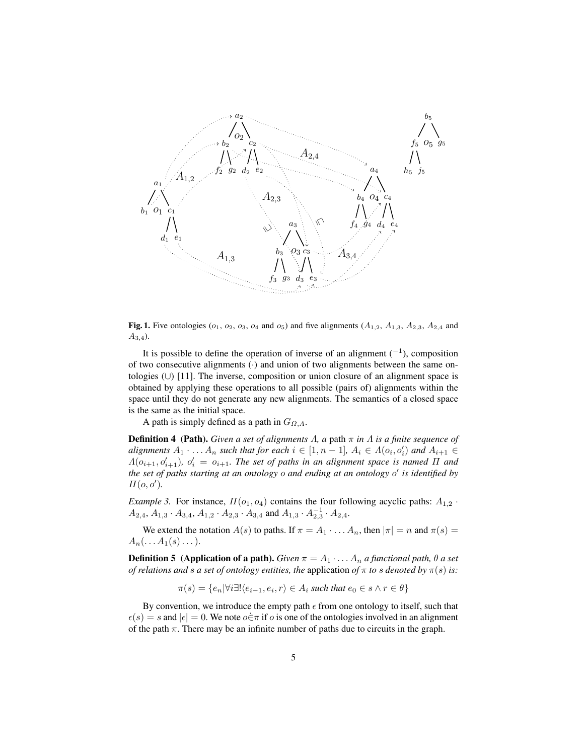

**Fig. 1.** Five ontologies ( $o_1$ ,  $o_2$ ,  $o_3$ ,  $o_4$  and  $o_5$ ) and five alignments ( $A_{1,2}$ ,  $A_{1,3}$ ,  $A_{2,3}$ ,  $A_{2,4}$  and  $A_{3,4}$ ).

It is possible to define the operation of inverse of an alignment  $($ <sup>-1</sup> $)$ , composition of two consecutive alignments  $\langle \cdot \rangle$  and union of two alignments between the same ontologies (∪) [11]. The inverse, composition or union closure of an alignment space is obtained by applying these operations to all possible (pairs of) alignments within the space until they do not generate any new alignments. The semantics of a closed space is the same as the initial space.

A path is simply defined as a path in  $G_{\Omega,\Lambda}$ .

Definition 4 (Path). *Given a set of alignments* Λ*, a* path π *in* Λ *is a finite sequence of alignments*  $A_1 \cdot ... A_n$  *such that for each*  $i \in [1, n-1]$ ,  $A_i \in \Lambda(o_i, o'_i)$  *and*  $A_{i+1} \in$  $\Lambda(o_{i+1}, o'_{i+1})$ ,  $o'_{i} = o_{i+1}$ . The set of paths in an alignment space is named  $\Pi$  and *the set of paths starting at an ontology* o *and ending at an ontology* o 0 *is identified by*  $\Pi(o, o').$ 

*Example 3.* For instance,  $\Pi(o_1, o_4)$  contains the four following acyclic paths:  $A_{1,2}$ .  $A_{2,4}$ ,  $A_{1,3}$   $\cdot$   $A_{3,4}$ ,  $A_{1,2}$   $\cdot$   $A_{2,3}$   $\cdot$   $A_{3,4}$  and  $A_{1,3}$   $\cdot$   $A_{2,3}^{-1}$   $\cdot$   $A_{2,4}$ .

We extend the notation  $A(s)$  to paths. If  $\pi = A_1 \cdot \ldots \cdot A_n$ , then  $|\pi| = n$  and  $\pi(s) =$  $A_n(\ldots A_1(s)\ldots).$ 

**Definition 5** (Application of a path). *Given*  $\pi = A_1 \cdot \ldots \cdot A_n$  *a functional path,*  $\theta$  *a set of relations and s a set of ontology entities, the application of*  $\pi$  *to s denoted by*  $\pi(s)$  *is:* 

$$
\pi(s) = \{e_n | \forall i \exists! \langle e_{i-1}, e_i, r \rangle \in A_i \text{ such that } e_0 \in s \land r \in \theta\}
$$

By convention, we introduce the empty path  $\epsilon$  from one ontology to itself, such that  $\epsilon(s) = s$  and  $|\epsilon| = 0$ . We note  $o \in \pi$  if o is one of the ontologies involved in an alignment of the path  $\pi$ . There may be an infinite number of paths due to circuits in the graph.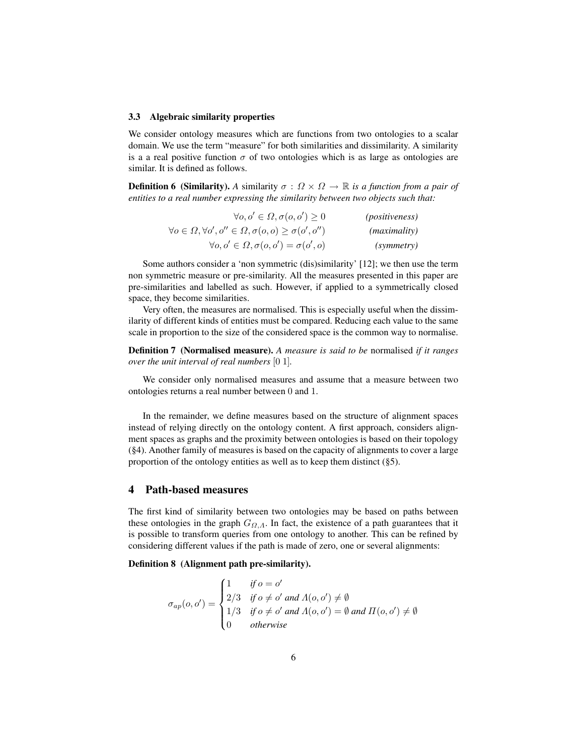#### 3.3 Algebraic similarity properties

We consider ontology measures which are functions from two ontologies to a scalar domain. We use the term "measure" for both similarities and dissimilarity. A similarity is a a real positive function  $\sigma$  of two ontologies which is as large as ontologies are similar. It is defined as follows.

**Definition 6 (Similarity).** A similarity  $\sigma$  :  $\Omega \times \Omega \rightarrow \mathbb{R}$  *is a function from a pair of entities to a real number expressing the similarity between two objects such that:*

| <i>(positiveness)</i> | $\forall o, o' \in \Omega, \sigma(o, o') \geq 0$                                      |
|-----------------------|---------------------------------------------------------------------------------------|
| (maximality)          | $\forall o \in \Omega, \forall o', o'' \in \Omega, \sigma(o, o) \geq \sigma(o', o'')$ |
| (symmetry)            | $\forall o, o' \in \Omega, \sigma(o, o') = \sigma(o', o)$                             |

Some authors consider a 'non symmetric (dis)similarity' [12]; we then use the term non symmetric measure or pre-similarity. All the measures presented in this paper are pre-similarities and labelled as such. However, if applied to a symmetrically closed space, they become similarities.

Very often, the measures are normalised. This is especially useful when the dissimilarity of different kinds of entities must be compared. Reducing each value to the same scale in proportion to the size of the considered space is the common way to normalise.

Definition 7 (Normalised measure). *A measure is said to be* normalised *if it ranges over the unit interval of real numbers* [0 1]*.*

We consider only normalised measures and assume that a measure between two ontologies returns a real number between 0 and 1.

In the remainder, we define measures based on the structure of alignment spaces instead of relying directly on the ontology content. A first approach, considers alignment spaces as graphs and the proximity between ontologies is based on their topology (§4). Another family of measures is based on the capacity of alignments to cover a large proportion of the ontology entities as well as to keep them distinct (§5).

## 4 Path-based measures

The first kind of similarity between two ontologies may be based on paths between these ontologies in the graph  $G_{\Omega,\Lambda}$ . In fact, the existence of a path guarantees that it is possible to transform queries from one ontology to another. This can be refined by considering different values if the path is made of zero, one or several alignments:

#### Definition 8 (Alignment path pre-similarity).

$$
\sigma_{ap}(o, o') = \begin{cases}\n1 & \text{if } o = o' \\
2/3 & \text{if } o \neq o' \text{ and } \Lambda(o, o') \neq \emptyset \\
1/3 & \text{if } o \neq o' \text{ and } \Lambda(o, o') = \emptyset \text{ and } \Pi(o, o') \neq \emptyset \\
0 & \text{otherwise}\n\end{cases}
$$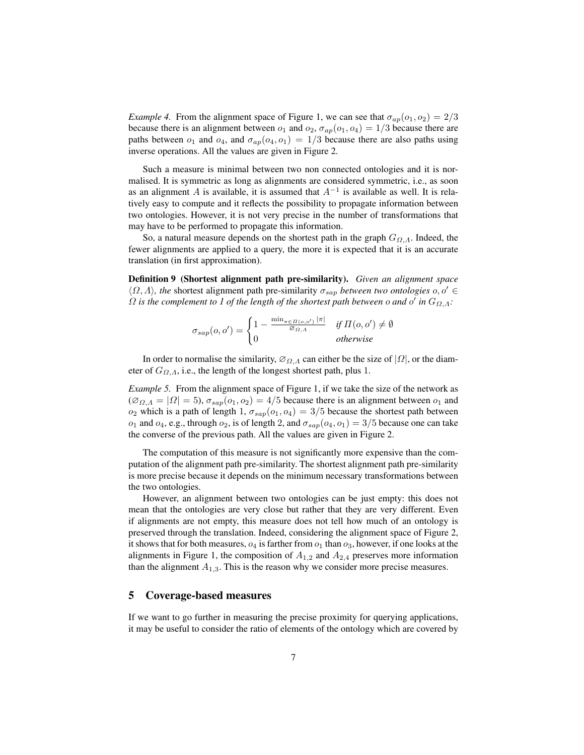*Example 4.* From the alignment space of Figure 1, we can see that  $\sigma_{ap}(o_1, o_2) = 2/3$ because there is an alignment between  $o_1$  and  $o_2$ ,  $\sigma_{ap}(o_1, o_4) = 1/3$  because there are paths between  $o_1$  and  $o_4$ , and  $\sigma_{ap}(o_4, o_1) = 1/3$  because there are also paths using inverse operations. All the values are given in Figure 2.

Such a measure is minimal between two non connected ontologies and it is normalised. It is symmetric as long as alignments are considered symmetric, i.e., as soon as an alignment A is available, it is assumed that  $A^{-1}$  is available as well. It is relatively easy to compute and it reflects the possibility to propagate information between two ontologies. However, it is not very precise in the number of transformations that may have to be performed to propagate this information.

So, a natural measure depends on the shortest path in the graph  $G_{\Omega,\Lambda}$ . Indeed, the fewer alignments are applied to a query, the more it is expected that it is an accurate translation (in first approximation).

Definition 9 (Shortest alignment path pre-similarity). *Given an alignment space*  $\langle \Omega, \Lambda \rangle$ , the shortest alignment path pre-similarity  $\sigma_{\text{snap}}$  *between two ontologies*  $o, o' \in$  $\Omega$  is the complement to 1 of the length of the shortest path between o and o' in  $G_{\Omega,\Lambda}$ :

$$
\sigma_{sap}(o, o') = \begin{cases} 1 - \frac{\min_{\pi \in \Pi(o, o')} |\pi|}{\varnothing_{\Omega, \Lambda}} & \text{if } \Pi(o, o') \neq \emptyset \\ 0 & \text{otherwise} \end{cases}
$$

In order to normalise the similarity,  $\mathcal{O}_{\Omega,\Lambda}$  can either be the size of  $|\Omega|$ , or the diameter of  $G_{\Omega,\Lambda}$ , i.e., the length of the longest shortest path, plus 1.

*Example 5.* From the alignment space of Figure 1, if we take the size of the network as  $(\varnothing_{\Omega,\Lambda} = |\Omega| = 5)$ ,  $\sigma_{\text{snap}}(o_1, o_2) = 4/5$  because there is an alignment between  $o_1$  and  $o_2$  which is a path of length 1,  $\sigma_{\text{sup}}(o_1, o_4) = 3/5$  because the shortest path between  $o_1$  and  $o_4$ , e.g., through  $o_2$ , is of length 2, and  $\sigma_{\text{snap}}(o_4, o_1) = 3/5$  because one can take the converse of the previous path. All the values are given in Figure 2.

The computation of this measure is not significantly more expensive than the computation of the alignment path pre-similarity. The shortest alignment path pre-similarity is more precise because it depends on the minimum necessary transformations between the two ontologies.

However, an alignment between two ontologies can be just empty: this does not mean that the ontologies are very close but rather that they are very different. Even if alignments are not empty, this measure does not tell how much of an ontology is preserved through the translation. Indeed, considering the alignment space of Figure 2, it shows that for both measures,  $o_4$  is farther from  $o_1$  than  $o_3$ , however, if one looks at the alignments in Figure 1, the composition of  $A_{1,2}$  and  $A_{2,4}$  preserves more information than the alignment  $A_{1,3}$ . This is the reason why we consider more precise measures.

### 5 Coverage-based measures

If we want to go further in measuring the precise proximity for querying applications, it may be useful to consider the ratio of elements of the ontology which are covered by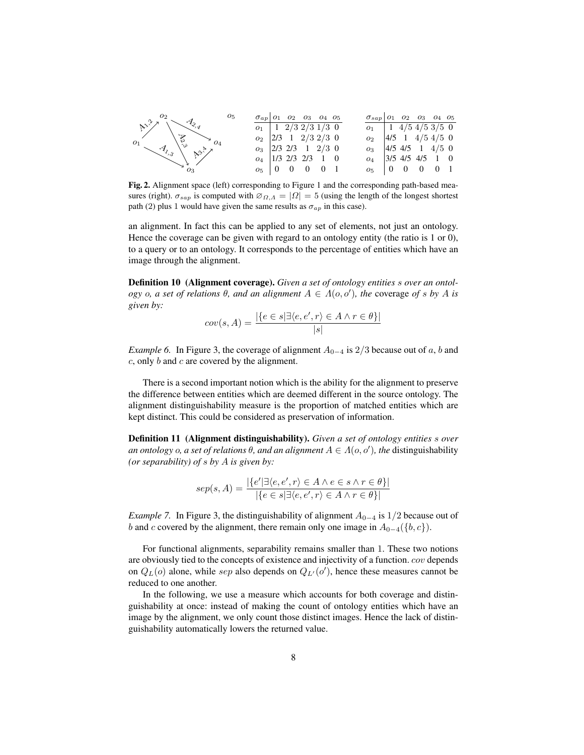|                    | 05 |  |  | $\sigma_{ap}$ $o_1$ $o_2$ $o_3$ $o_4$ $o_5$ |  | $\sigma_{sap}$ $o_1$ $o_2$ $o_3$ $o_4$ $o_5$ |  |  |  |
|--------------------|----|--|--|---------------------------------------------|--|----------------------------------------------|--|--|--|
| $x^{3}$ $\sqrt{2}$ |    |  |  | $o_1$   1 2/3 2/3 1/3 0                     |  | $o_1$   1 4/5 4/5 3/5 0                      |  |  |  |
|                    |    |  |  | $o_2$ 2/3 1 2/3 2/3 0                       |  | $o_2$  4/5 1 4/5 4/5 0                       |  |  |  |
| $o_1$              |    |  |  | $o_3$ 2/3 2/3 1 2/3 0                       |  | $o_3$  4/5 4/5 1 4/5 0                       |  |  |  |
|                    |    |  |  | $o_4$   1/3 2/3 2/3 1 0                     |  | $Q_4$   3/5 4/5 4/5 1 0                      |  |  |  |
|                    |    |  |  | $o_5$   0 0 0 0 1                           |  | $o_5$   0 0 0 0 1                            |  |  |  |

Fig. 2. Alignment space (left) corresponding to Figure 1 and the corresponding path-based measures (right).  $\sigma_{sap}$  is computed with  $\varnothing_{Q,A} = |\Omega| = 5$  (using the length of the longest shortest path (2) plus 1 would have given the same results as  $\sigma_{ap}$  in this case).

an alignment. In fact this can be applied to any set of elements, not just an ontology. Hence the coverage can be given with regard to an ontology entity (the ratio is 1 or 0), to a query or to an ontology. It corresponds to the percentage of entities which have an image through the alignment.

Definition 10 (Alignment coverage). *Given a set of ontology entities* s *over an ontol-* $\log y$  o, a set of relations  $\theta$ , and an alignment  $A \in \Lambda$  ( $o, o'$ ), the coverage of s by A is *given by:*

$$
cov(s, A) = \frac{|\{e \in s | \exists \langle e, e', r \rangle \in A \land r \in \theta\}|}{|s|}
$$

*Example 6.* In Figure 3, the coverage of alignment  $A_{0-4}$  is 2/3 because out of a, b and  $c$ , only  $b$  and  $c$  are covered by the alignment.

There is a second important notion which is the ability for the alignment to preserve the difference between entities which are deemed different in the source ontology. The alignment distinguishability measure is the proportion of matched entities which are kept distinct. This could be considered as preservation of information.

Definition 11 (Alignment distinguishability). *Given a set of ontology entities* s *over an ontology o, a set of relations*  $\theta$ *, and an alignment*  $A \in \Lambda(o, o')$ *, the distinguishability (or separability) of* s *by* A *is given by:*

$$
sep(s, A) = \frac{|\{e' | \exists \langle e, e', r \rangle \in A \land e \in s \land r \in \theta\}|}{|\{e \in s | \exists \langle e, e', r \rangle \in A \land r \in \theta\}|}
$$

*Example 7.* In Figure 3, the distinguishability of alignment  $A_{0-4}$  is 1/2 because out of b and c covered by the alignment, there remain only one image in  $A_{0-4}(\{b, c\})$ .

For functional alignments, separability remains smaller than 1. These two notions are obviously tied to the concepts of existence and injectivity of a function. *cov* depends on  $Q_L(\rho)$  alone, while sep also depends on  $Q_{L'}(\rho')$ , hence these measures cannot be reduced to one another.

In the following, we use a measure which accounts for both coverage and distinguishability at once: instead of making the count of ontology entities which have an image by the alignment, we only count those distinct images. Hence the lack of distinguishability automatically lowers the returned value.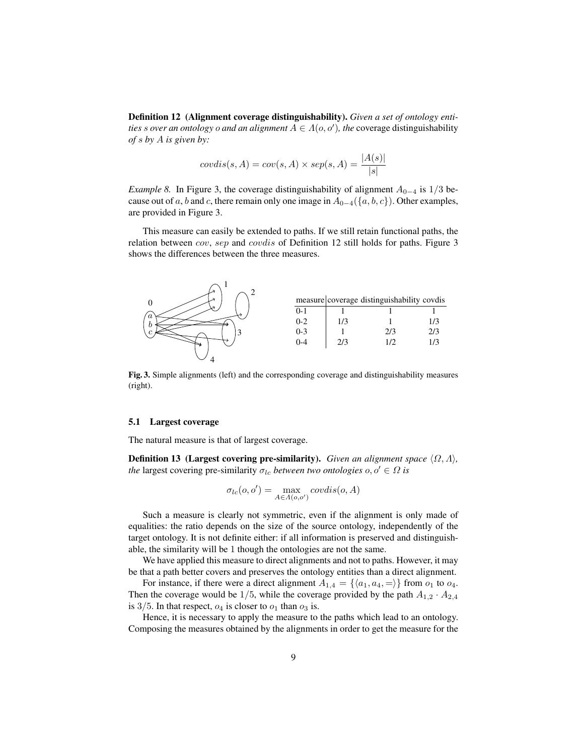Definition 12 (Alignment coverage distinguishability). *Given a set of ontology entities s over an ontology o and an alignment*  $A \in \Lambda$  (*o, o'*), the coverage distinguishability *of* s *by* A *is given by:*

$$
covdis(s, A) = cov(s, A) \times sep(s, A) = \frac{|A(s)|}{|s|}
$$

*Example 8.* In Figure 3, the coverage distinguishability of alignment  $A_{0-4}$  is 1/3 because out of a, b and c, there remain only one image in  $A_{0-4}(\{a, b, c\})$ . Other examples, are provided in Figure 3.

This measure can easily be extended to paths. If we still retain functional paths, the relation between *cov*, sep and *covdis* of Definition 12 still holds for paths. Figure 3 shows the differences between the three measures.



Fig. 3. Simple alignments (left) and the corresponding coverage and distinguishability measures (right).

#### 5.1 Largest coverage

The natural measure is that of largest coverage.

**Definition 13** (Largest covering pre-similarity). *Given an alignment space*  $\langle \Omega, \Lambda \rangle$ , *the* largest covering pre-similarity  $\sigma_{lc}$  *between two ontologies*  $o, o' \in \Omega$  *is* 

$$
\sigma_{lc}(o, o') = \max_{A \in \Lambda(o, o')} covdis(o, A)
$$

Such a measure is clearly not symmetric, even if the alignment is only made of equalities: the ratio depends on the size of the source ontology, independently of the target ontology. It is not definite either: if all information is preserved and distinguishable, the similarity will be 1 though the ontologies are not the same.

We have applied this measure to direct alignments and not to paths. However, it may be that a path better covers and preserves the ontology entities than a direct alignment.

For instance, if there were a direct alignment  $A_{1,4} = \{ \langle a_1, a_4, = \rangle \}$  from  $o_1$  to  $o_4$ . Then the coverage would be 1/5, while the coverage provided by the path  $A_{1,2} \cdot A_{2,4}$ is 3/5. In that respect,  $o_4$  is closer to  $o_1$  than  $o_3$  is.

Hence, it is necessary to apply the measure to the paths which lead to an ontology. Composing the measures obtained by the alignments in order to get the measure for the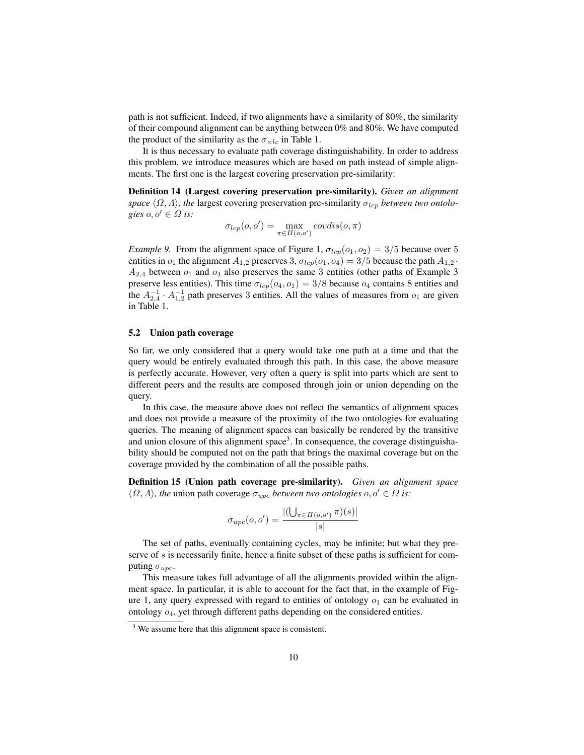path is not sufficient. Indeed, if two alignments have a similarity of 80%, the similarity of their compound alignment can be anything between 0% and 80%. We have computed the product of the similarity as the  $\sigma_{\times l_c}$  in Table 1.

It is thus necessary to evaluate path coverage distinguishability. In order to address this problem, we introduce measures which are based on path instead of simple alignments. The first one is the largest covering preservation pre-similarity:

Definition 14 (Largest covering preservation pre-similarity). *Given an alignment space*  $\langle \Omega, \Lambda \rangle$ , the largest covering preservation pre-similarity  $\sigma_{lcp}$  *between two ontologies*  $o, o' \in \Omega$  *is:* 

$$
\sigma_{lcp}(o, o') = \max_{\pi \in \Pi(o, o')} covdis(o, \pi)
$$

*Example 9.* From the alignment space of Figure 1,  $\sigma_{lcp}(o_1, o_2) = 3/5$  because over 5 entities in  $o_1$  the alignment  $A_{1,2}$  preserves 3,  $\sigma_{lcp}(o_1, o_4) = 3/5$  because the path  $A_{1,2}$ .  $A_{2,4}$  between  $o_1$  and  $o_4$  also preserves the same 3 entities (other paths of Example 3 preserve less entities). This time  $\sigma_{lcp}(o_4, o_1) = 3/8$  because  $o_4$  contains 8 entities and the  $A_{2,4}^{-1}$  ·  $A_{1,2}^{-1}$  path preserves 3 entities. All the values of measures from  $o_1$  are given in Table 1.

### 5.2 Union path coverage

So far, we only considered that a query would take one path at a time and that the query would be entirely evaluated through this path. In this case, the above measure is perfectly accurate. However, very often a query is split into parts which are sent to different peers and the results are composed through join or union depending on the query.

In this case, the measure above does not reflect the semantics of alignment spaces and does not provide a measure of the proximity of the two ontologies for evaluating queries. The meaning of alignment spaces can basically be rendered by the transitive and union closure of this alignment space<sup>3</sup>. In consequence, the coverage distinguishability should be computed not on the path that brings the maximal coverage but on the coverage provided by the combination of all the possible paths.

Definition 15 (Union path coverage pre-similarity). *Given an alignment space*  $\langle \Omega, \Lambda \rangle$ , the union path coverage  $\sigma_{unc}$  *between two ontologies*  $o, o' \in \Omega$  *is:* 

$$
\sigma_{upc}(o,o') = \frac{|(\bigcup_{\pi \in \Pi(o,o')} \pi)(s)|}{|s|}
$$

The set of paths, eventually containing cycles, may be infinite; but what they preserve of s is necessarily finite, hence a finite subset of these paths is sufficient for computing  $\sigma_{upc}$ .

This measure takes full advantage of all the alignments provided within the alignment space. In particular, it is able to account for the fact that, in the example of Figure 1, any query expressed with regard to entities of ontology  $o_1$  can be evaluated in ontology  $o_4$ , yet through different paths depending on the considered entities.

<sup>&</sup>lt;sup>3</sup> We assume here that this alignment space is consistent.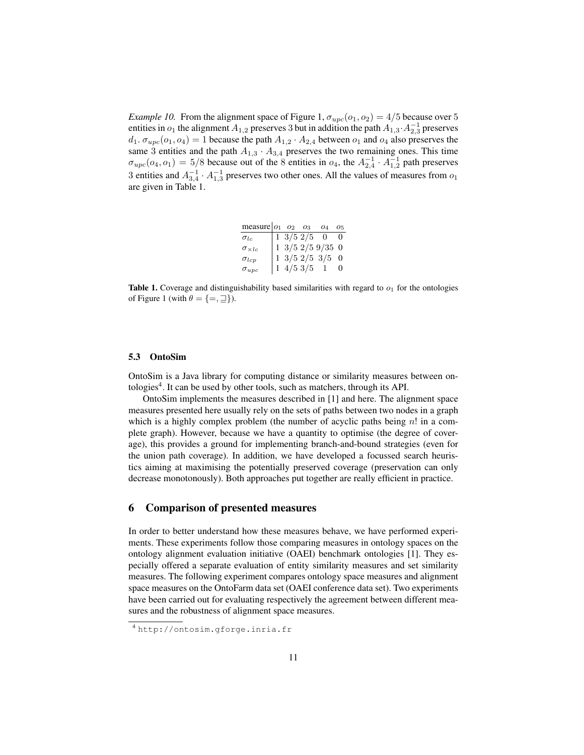*Example 10.* From the alignment space of Figure 1,  $\sigma_{upc}(o_1, o_2) = 4/5$  because over 5 entities in  $o_1$  the alignment  $A_{1,2}$  preserves 3 but in addition the path  $A_{1,3} \cdot A_{2,3}^{-1}$  preserves  $d_1 \text{. } \sigma_{\text{upc}}(o_1, o_4) = 1$  because the path  $A_{1,2} \cdot A_{2,4}$  between  $o_1$  and  $o_4$  also preserves the same 3 entities and the path  $A_{1,3} \cdot A_{3,4}$  preserves the two remaining ones. This time  $\sigma_{upc}(o_4, o_1) = 5/8$  because out of the 8 entities in  $o_4$ , the  $A_{2,4}^{-1} \cdot A_{1,2}^{-1}$  path preserves 3 entities and  $A_{3,4}^{-1} \cdot A_{1,3}^{-1}$  preserves two other ones. All the values of measures from  $o_1$ are given in Table 1.

| measure $ o_1 \t o_2 \t o_3$ |  | 04                                                                                                                                     | О5 |
|------------------------------|--|----------------------------------------------------------------------------------------------------------------------------------------|----|
| $\sigma_{lc}$                |  |                                                                                                                                        |    |
| $\sigma_{\times lc}$         |  |                                                                                                                                        |    |
| $\sigma_{lcp}$               |  | $\begin{array}{ccc} 1 \ 3/5 \ 2/5 & 0 & 0 \\ 1 \ 3/5 \ 2/5 \ 9/35 & 0 \\ 1 \ 3/5 \ 2/5 \ 3/5 & 0 \\ 1 \ 4/5 \ 3/5 & 1 & 0 \end{array}$ |    |
| $\sigma_{upc}$               |  |                                                                                                                                        |    |

Table 1. Coverage and distinguishability based similarities with regard to  $o_1$  for the ontologies of Figure 1 (with  $\theta = \{\equiv, \sqsupseteq\}$ ).

#### 5.3 OntoSim

OntoSim is a Java library for computing distance or similarity measures between ontologies<sup>4</sup>. It can be used by other tools, such as matchers, through its API.

OntoSim implements the measures described in [1] and here. The alignment space measures presented here usually rely on the sets of paths between two nodes in a graph which is a highly complex problem (the number of acyclic paths being  $n!$  in a complete graph). However, because we have a quantity to optimise (the degree of coverage), this provides a ground for implementing branch-and-bound strategies (even for the union path coverage). In addition, we have developed a focussed search heuristics aiming at maximising the potentially preserved coverage (preservation can only decrease monotonously). Both approaches put together are really efficient in practice.

## 6 Comparison of presented measures

In order to better understand how these measures behave, we have performed experiments. These experiments follow those comparing measures in ontology spaces on the ontology alignment evaluation initiative (OAEI) benchmark ontologies [1]. They especially offered a separate evaluation of entity similarity measures and set similarity measures. The following experiment compares ontology space measures and alignment space measures on the OntoFarm data set (OAEI conference data set). Two experiments have been carried out for evaluating respectively the agreement between different measures and the robustness of alignment space measures.

<sup>4</sup> http://ontosim.gforge.inria.fr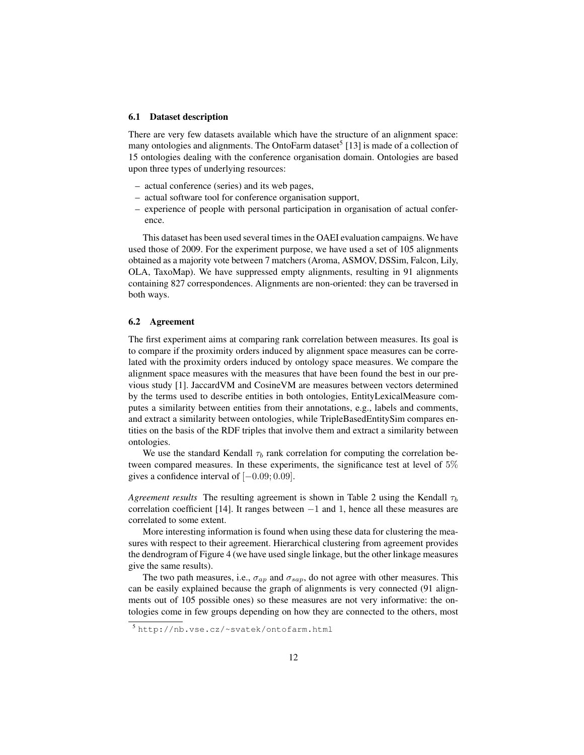#### 6.1 Dataset description

There are very few datasets available which have the structure of an alignment space: many ontologies and alignments. The OntoFarm dataset<sup>5</sup> [13] is made of a collection of 15 ontologies dealing with the conference organisation domain. Ontologies are based upon three types of underlying resources:

- actual conference (series) and its web pages,
- actual software tool for conference organisation support,
- experience of people with personal participation in organisation of actual conference.

This dataset has been used several times in the OAEI evaluation campaigns. We have used those of 2009. For the experiment purpose, we have used a set of 105 alignments obtained as a majority vote between 7 matchers (Aroma, ASMOV, DSSim, Falcon, Lily, OLA, TaxoMap). We have suppressed empty alignments, resulting in 91 alignments containing 827 correspondences. Alignments are non-oriented: they can be traversed in both ways.

#### 6.2 Agreement

The first experiment aims at comparing rank correlation between measures. Its goal is to compare if the proximity orders induced by alignment space measures can be correlated with the proximity orders induced by ontology space measures. We compare the alignment space measures with the measures that have been found the best in our previous study [1]. JaccardVM and CosineVM are measures between vectors determined by the terms used to describe entities in both ontologies, EntityLexicalMeasure computes a similarity between entities from their annotations, e.g., labels and comments, and extract a similarity between ontologies, while TripleBasedEntitySim compares entities on the basis of the RDF triples that involve them and extract a similarity between ontologies.

We use the standard Kendall  $\tau_b$  rank correlation for computing the correlation between compared measures. In these experiments, the significance test at level of 5% gives a confidence interval of  $[-0.09; 0.09]$ .

*Agreement results* The resulting agreement is shown in Table 2 using the Kendall  $\tau_b$ correlation coefficient [14]. It ranges between −1 and 1, hence all these measures are correlated to some extent.

More interesting information is found when using these data for clustering the measures with respect to their agreement. Hierarchical clustering from agreement provides the dendrogram of Figure 4 (we have used single linkage, but the other linkage measures give the same results).

The two path measures, i.e.,  $\sigma_{ap}$  and  $\sigma_{sap}$ , do not agree with other measures. This can be easily explained because the graph of alignments is very connected (91 alignments out of 105 possible ones) so these measures are not very informative: the ontologies come in few groups depending on how they are connected to the others, most

<sup>5</sup> http://nb.vse.cz/~svatek/ontofarm.html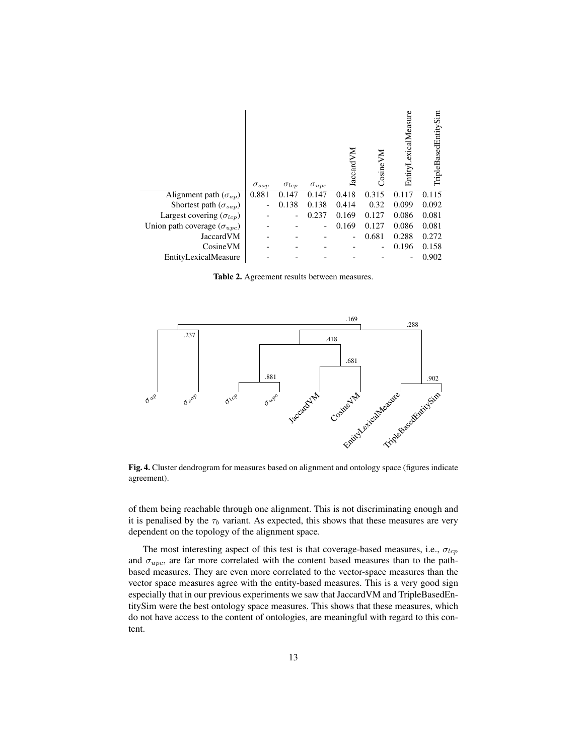|                                       | $\sigma_{sap}$ | $\sigma_{lcp}$ | $\sigma_{upc}$ | JaccardVM | CosineV | exicalMeasure<br>EntityL | TripleBasedEntitySim |
|---------------------------------------|----------------|----------------|----------------|-----------|---------|--------------------------|----------------------|
| Alignment path $(\sigma_{ap})$        | 0.881          | 0.147          | 0.147          | 0.418     | 0.315   | 0.117                    | 0.115                |
| Shortest path $(\sigma_{\text{gap}})$ |                | 0.138          | 0.138          | 0.414     | 0.32    | 0.099                    | 0.092                |
| Largest covering $(\sigma_{lcn})$     |                |                | 0.237          | 0.169     | 0.127   | 0.086                    | 0.081                |
| Union path coverage $(\sigma_{upc})$  |                |                |                | 0.169     | 0.127   | 0.086                    | 0.081                |
| JaccardVM                             |                |                |                |           | 0.681   | 0.288                    | 0.272                |
| CosineVM                              |                |                |                |           |         | 0.196                    | 0.158                |
| EntityLexicalMeasure                  |                |                |                |           |         |                          | 0.902                |

Table 2. Agreement results between measures.



Fig. 4. Cluster dendrogram for measures based on alignment and ontology space (figures indicate agreement).

of them being reachable through one alignment. This is not discriminating enough and it is penalised by the  $\tau_b$  variant. As expected, this shows that these measures are very dependent on the topology of the alignment space.

The most interesting aspect of this test is that coverage-based measures, i.e.,  $\sigma_{lcp}$ and  $\sigma_{upc}$ , are far more correlated with the content based measures than to the pathbased measures. They are even more correlated to the vector-space measures than the vector space measures agree with the entity-based measures. This is a very good sign especially that in our previous experiments we saw that JaccardVM and TripleBasedEntitySim were the best ontology space measures. This shows that these measures, which do not have access to the content of ontologies, are meaningful with regard to this content.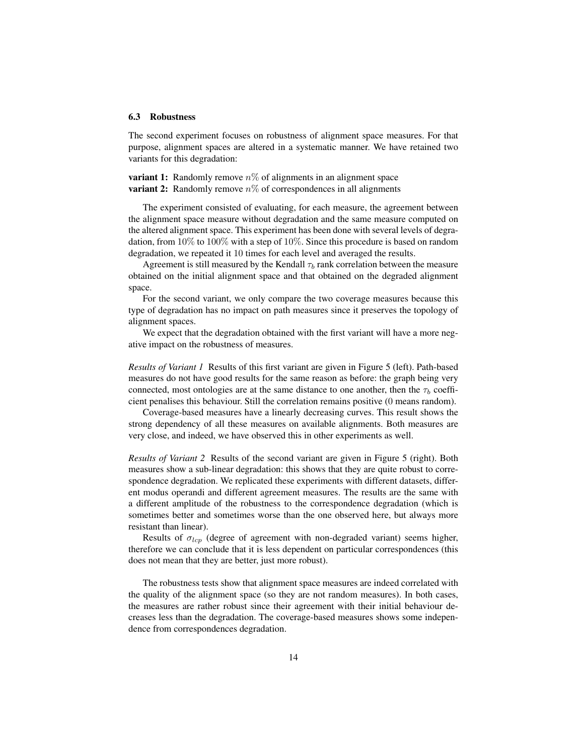### 6.3 Robustness

The second experiment focuses on robustness of alignment space measures. For that purpose, alignment spaces are altered in a systematic manner. We have retained two variants for this degradation:

**variant 1:** Randomly remove  $n\%$  of alignments in an alignment space **variant 2:** Randomly remove  $n\%$  of correspondences in all alignments

The experiment consisted of evaluating, for each measure, the agreement between the alignment space measure without degradation and the same measure computed on the altered alignment space. This experiment has been done with several levels of degradation, from 10% to 100% with a step of 10%. Since this procedure is based on random degradation, we repeated it 10 times for each level and averaged the results.

Agreement is still measured by the Kendall  $\tau_b$  rank correlation between the measure obtained on the initial alignment space and that obtained on the degraded alignment space.

For the second variant, we only compare the two coverage measures because this type of degradation has no impact on path measures since it preserves the topology of alignment spaces.

We expect that the degradation obtained with the first variant will have a more negative impact on the robustness of measures.

*Results of Variant 1* Results of this first variant are given in Figure 5 (left). Path-based measures do not have good results for the same reason as before: the graph being very connected, most ontologies are at the same distance to one another, then the  $\tau_b$  coefficient penalises this behaviour. Still the correlation remains positive (0 means random).

Coverage-based measures have a linearly decreasing curves. This result shows the strong dependency of all these measures on available alignments. Both measures are very close, and indeed, we have observed this in other experiments as well.

*Results of Variant 2* Results of the second variant are given in Figure 5 (right). Both measures show a sub-linear degradation: this shows that they are quite robust to correspondence degradation. We replicated these experiments with different datasets, different modus operandi and different agreement measures. The results are the same with a different amplitude of the robustness to the correspondence degradation (which is sometimes better and sometimes worse than the one observed here, but always more resistant than linear).

Results of  $\sigma_{lcp}$  (degree of agreement with non-degraded variant) seems higher, therefore we can conclude that it is less dependent on particular correspondences (this does not mean that they are better, just more robust).

The robustness tests show that alignment space measures are indeed correlated with the quality of the alignment space (so they are not random measures). In both cases, the measures are rather robust since their agreement with their initial behaviour decreases less than the degradation. The coverage-based measures shows some independence from correspondences degradation.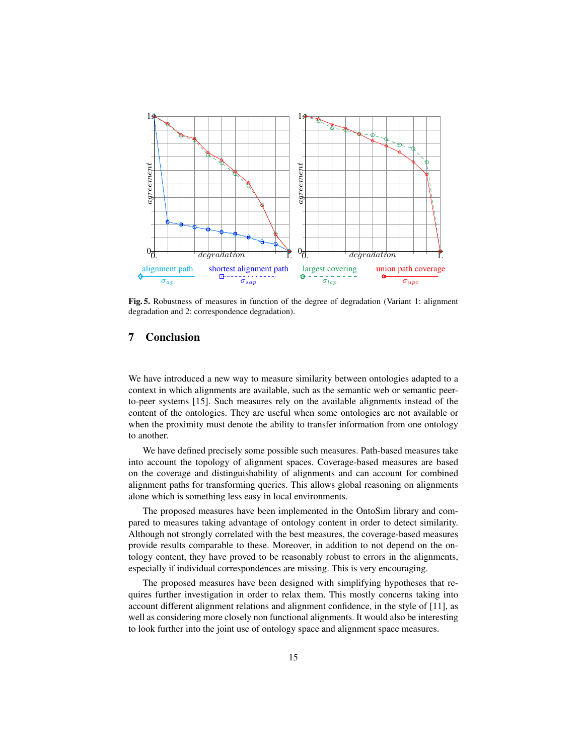

Fig. 5. Robustness of measures in function of the degree of degradation (Variant 1: alignment degradation and 2: correspondence degradation).

## 7 Conclusion

We have introduced a new way to measure similarity between ontologies adapted to a context in which alignments are available, such as the semantic web or semantic peerto-peer systems [15]. Such measures rely on the available alignments instead of the content of the ontologies. They are useful when some ontologies are not available or when the proximity must denote the ability to transfer information from one ontology to another.

We have defined precisely some possible such measures. Path-based measures take into account the topology of alignment spaces. Coverage-based measures are based on the coverage and distinguishability of alignments and can account for combined alignment paths for transforming queries. This allows global reasoning on alignments alone which is something less easy in local environments.

The proposed measures have been implemented in the OntoSim library and compared to measures taking advantage of ontology content in order to detect similarity. Although not strongly correlated with the best measures, the coverage-based measures provide results comparable to these. Moreover, in addition to not depend on the ontology content, they have proved to be reasonably robust to errors in the alignments, especially if individual correspondences are missing. This is very encouraging.

The proposed measures have been designed with simplifying hypotheses that requires further investigation in order to relax them. This mostly concerns taking into account different alignment relations and alignment confidence, in the style of [11], as well as considering more closely non functional alignments. It would also be interesting to look further into the joint use of ontology space and alignment space measures.